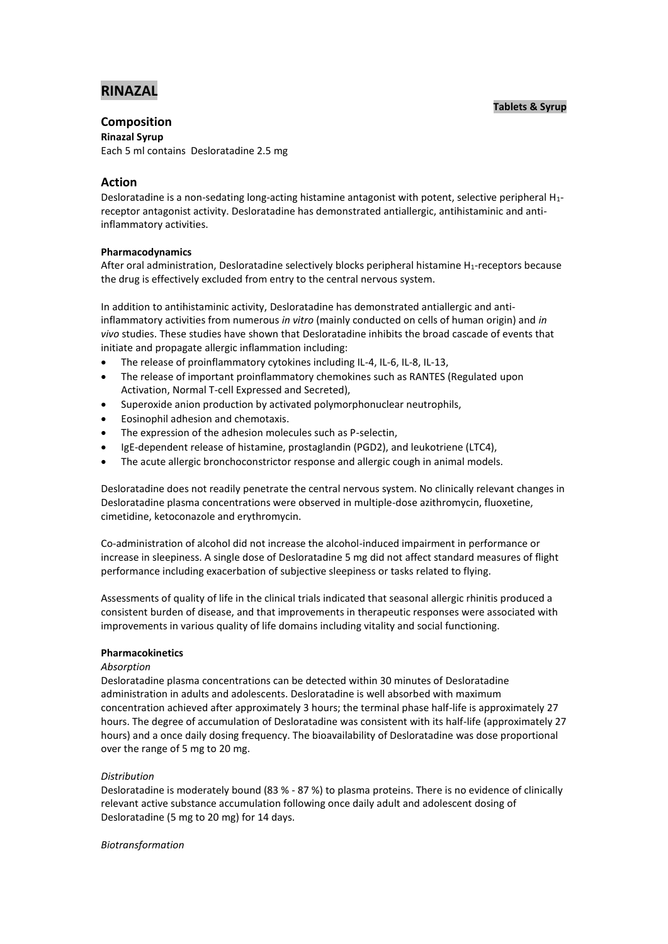# **RINAZAL**

### **Tablets & Syrup**

## **Composition**

**Rinazal Syrup**

Each 5 ml contains Desloratadine 2.5 mg

## **Action**

Desloratadine is a non-sedating long-acting histamine antagonist with potent, selective peripheral H1 receptor antagonist activity. Desloratadine has demonstrated antiallergic, antihistaminic and antiinflammatory activities.

## **Pharmacodynamics**

After oral administration, Desloratadine selectively blocks peripheral histamine H1-receptors because the drug is effectively excluded from entry to the central nervous system.

In addition to antihistaminic activity, Desloratadine has demonstrated antiallergic and antiinflammatory activities from numerous *in vitro* (mainly conducted on cells of human origin) and *in vivo* studies. These studies have shown that Desloratadine inhibits the broad cascade of events that initiate and propagate allergic inflammation including:

- The release of proinflammatory cytokines including IL-4, IL-6, IL-8, IL-13,
- The release of important proinflammatory chemokines such as RANTES (Regulated upon Activation, Normal T-cell Expressed and Secreted),
- Superoxide anion production by activated polymorphonuclear neutrophils,
- Eosinophil adhesion and chemotaxis.
- The expression of the adhesion molecules such as P-selectin,
- IgE-dependent release of histamine, prostaglandin (PGD2), and leukotriene (LTC4),
- The acute allergic bronchoconstrictor response and allergic cough in animal models.

Desloratadine does not readily penetrate the central nervous system. No clinically relevant changes in Desloratadine plasma concentrations were observed in multiple-dose azithromycin, fluoxetine, cimetidine, ketoconazole and erythromycin.

Co-administration of alcohol did not increase the alcohol-induced impairment in performance or increase in sleepiness. A single dose of Desloratadine 5 mg did not affect standard measures of flight performance including exacerbation of subjective sleepiness or tasks related to flying.

Assessments of quality of life in the clinical trials indicated that seasonal allergic rhinitis produced a consistent burden of disease, and that improvements in therapeutic responses were associated with improvements in various quality of life domains including vitality and social functioning.

## **Pharmacokinetics**

## *Absorption*

Desloratadine plasma concentrations can be detected within 30 minutes of Desloratadine administration in adults and adolescents. Desloratadine is well absorbed with maximum concentration achieved after approximately 3 hours; the terminal phase half-life is approximately 27 hours. The degree of accumulation of Desloratadine was consistent with its half-life (approximately 27 hours) and a once daily dosing frequency. The bioavailability of Desloratadine was dose proportional over the range of 5 mg to 20 mg.

## *Distribution*

Desloratadine is moderately bound (83 % - 87 %) to plasma proteins. There is no evidence of clinically relevant active substance accumulation following once daily adult and adolescent dosing of Desloratadine (5 mg to 20 mg) for 14 days.

#### *Biotransformation*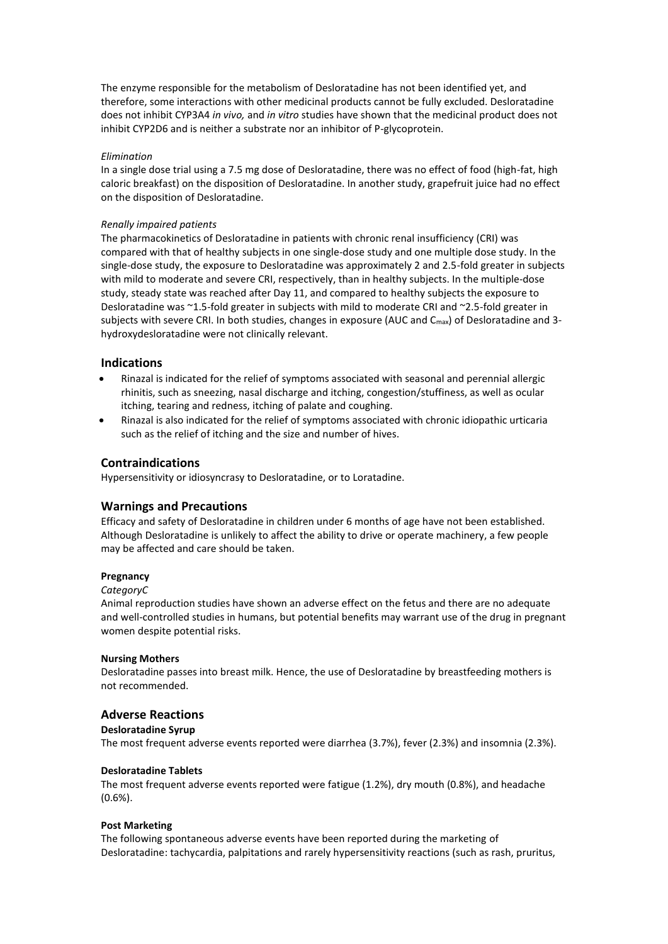The enzyme responsible for the metabolism of Desloratadine has not been identified yet, and therefore, some interactions with other medicinal products cannot be fully excluded. Desloratadine does not inhibit CYP3A4 *in vivo,* and *in vitro* studies have shown that the medicinal product does not inhibit CYP2D6 and is neither a substrate nor an inhibitor of P-glycoprotein.

#### *Elimination*

In a single dose trial using a 7.5 mg dose of Desloratadine, there was no effect of food (high-fat, high caloric breakfast) on the disposition of Desloratadine. In another study, grapefruit juice had no effect on the disposition of Desloratadine.

#### *Renally impaired patients*

The pharmacokinetics of Desloratadine in patients with chronic renal insufficiency (CRI) was compared with that of healthy subjects in one single-dose study and one multiple dose study. In the single-dose study, the exposure to Desloratadine was approximately 2 and 2.5-fold greater in subjects with mild to moderate and severe CRI, respectively, than in healthy subjects. In the multiple-dose study, steady state was reached after Day 11, and compared to healthy subjects the exposure to Desloratadine was ~1.5-fold greater in subjects with mild to moderate CRI and ~2.5-fold greater in subjects with severe CRI. In both studies, changes in exposure (AUC and C<sub>max</sub>) of Desloratadine and 3hydroxydesloratadine were not clinically relevant.

## **Indications**

- Rinazal is indicated for the relief of symptoms associated with seasonal and perennial allergic rhinitis, such as sneezing, nasal discharge and itching, congestion/stuffiness, as well as ocular itching, tearing and redness, itching of palate and coughing.
- Rinazal is also indicated for the relief of symptoms associated with chronic idiopathic urticaria such as the relief of itching and the size and number of hives.

### **Contraindications**

Hypersensitivity or idiosyncrasy to Desloratadine, or to Loratadine.

### **Warnings and Precautions**

Efficacy and safety of Desloratadine in children under 6 months of age have not been established. Although Desloratadine is unlikely to affect the ability to drive or operate machinery, a few people may be affected and care should be taken.

#### **Pregnancy**

#### *CategoryC*

Animal reproduction studies have shown an adverse effect on the fetus and there are no adequate and well-controlled studies in humans, but potential benefits may warrant use of the drug in pregnant women despite potential risks.

#### **Nursing Mothers**

Desloratadine passes into breast milk. Hence, the use of Desloratadine by breastfeeding mothers is not recommended.

#### **Adverse Reactions**

#### **Desloratadine Syrup**

The most frequent adverse events reported were diarrhea (3.7%), fever (2.3%) and insomnia (2.3%).

#### **Desloratadine Tablets**

The most frequent adverse events reported were fatigue (1.2%), dry mouth (0.8%), and headache (0.6%).

#### **Post Marketing**

The following spontaneous adverse events have been reported during the marketing of Desloratadine: tachycardia, palpitations and rarely hypersensitivity reactions (such as rash, pruritus,